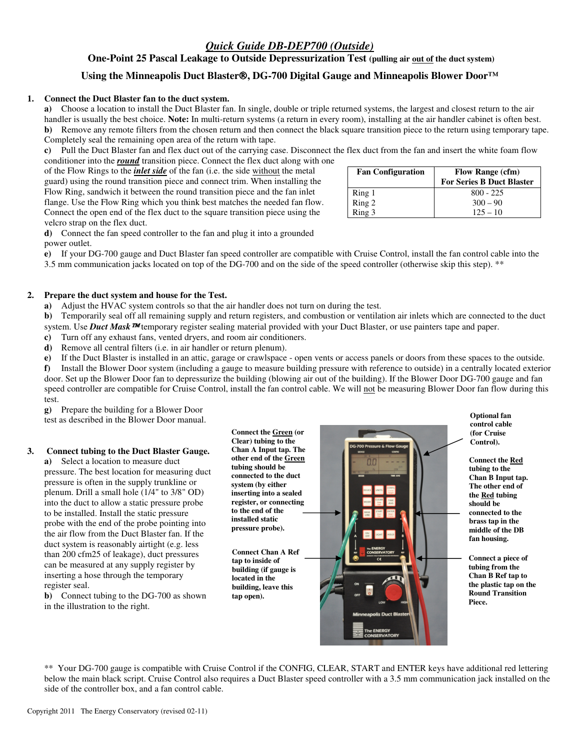# *Quick Guide DB-DEP700 (Outside)*

**One-Point 25 Pascal Leakage to Outside Depressurization Test (pulling air out of the duct system)** 

# **Using the Minneapolis Duct Blaster, DG-700 Digital Gauge and Minneapolis Blower Door™**

### **1. Connect the Duct Blaster fan to the duct system.**

**a)** Choose a location to install the Duct Blaster fan. In single, double or triple returned systems, the largest and closest return to the air handler is usually the best choice. **Note:** In multi-return systems (a return in every room), installing at the air handler cabinet is often best. **b)** Remove any remote filters from the chosen return and then connect the black square transition piece to the return using temporary tape. Completely seal the remaining open area of the return with tape.

**c)** Pull the Duct Blaster fan and flex duct out of the carrying case. Disconnect the flex duct from the fan and insert the white foam flow

conditioner into the *round* transition piece. Connect the flex duct along with one of the Flow Rings to the *inlet side* of the fan (i.e. the side without the metal guard) using the round transition piece and connect trim. When installing the Flow Ring, sandwich it between the round transition piece and the fan inlet flange. Use the Flow Ring which you think best matches the needed fan flow. Connect the open end of the flex duct to the square transition piece using the velcro strap on the flex duct.

**d)** Connect the fan speed controller to the fan and plug it into a grounded power outlet.

**e)** If your DG-700 gauge and Duct Blaster fan speed controller are compatible with Cruise Control, install the fan control cable into the 3.5 mm communication jacks located on top of the DG-700 and on the side of the speed controller (otherwise skip this step). \*\*

## **2. Prepare the duct system and house for the Test.**

**a)** Adjust the HVAC system controls so that the air handler does not turn on during the test.

**b**) Temporarily seal off all remaining supply and return registers, and combustion or ventilation air inlets which are connected to the duct system. Use **Duct Mask <sup>TM</sup>** temporary register sealing material provided with your Duct Blaster, or use painters tape and paper.

**c)** Turn off any exhaust fans, vented dryers, and room air conditioners.

**d)** Remove all central filters (i.e. in air handler or return plenum).

**e)** If the Duct Blaster is installed in an attic, garage or crawlspace - open vents or access panels or doors from these spaces to the outside.

**f)** Install the Blower Door system (including a gauge to measure building pressure with reference to outside) in a centrally located exterior door. Set up the Blower Door fan to depressurize the building (blowing air out of the building). If the Blower Door DG-700 gauge and fan speed controller are compatible for Cruise Control, install the fan control cable. We will not be measuring Blower Door fan flow during this test.

**g)** Prepare the building for a Blower Door test as described in the Blower Door manual.

### **3. Connect tubing to the Duct Blaster Gauge.**

**a)** Select a location to measure duct pressure. The best location for measuring duct pressure is often in the supply trunkline or plenum. Drill a small hole (1/4" to 3/8" OD) into the duct to allow a static pressure probe to be installed. Install the static pressure probe with the end of the probe pointing into the air flow from the Duct Blaster fan. If the duct system is reasonably airtight (e.g. less than 200 cfm25 of leakage), duct pressures can be measured at any supply register by inserting a hose through the temporary register seal.

**b)** Connect tubing to the DG-700 as shown in the illustration to the right.

**Clear) tubing to the Chan A Input tap. The other end of the Green tubing should be connected to the duct system (by either inserting into a sealed register, or connecting to the end of the installed static pressure probe).** 

**Connect Chan A Ref tap to inside of building (if gauge is located in the building, leave this tap open).** 

\*\* Your DG-700 gauge is compatible with Cruise Control if the CONFIG, CLEAR, START and ENTER keys have additional red lettering



Fan Configuration Flow Range (cfm) **For Series B Duct Blaster** Ring 1 800 - 225 Ring 2  $300 - 90$ <br>Ring 3  $125 - 10$  $125 - 10$ 

> **Optional fan control cable (for Cruise Control).**

**Connect the Red tubing to the Chan B Input tap. The other end of the Red tubing should be connected to the brass tap in the middle of the DB fan housing.** 

**Connect a piece of tubing from the Chan B Ref tap to the plastic tap on the Round Transition Piece.**